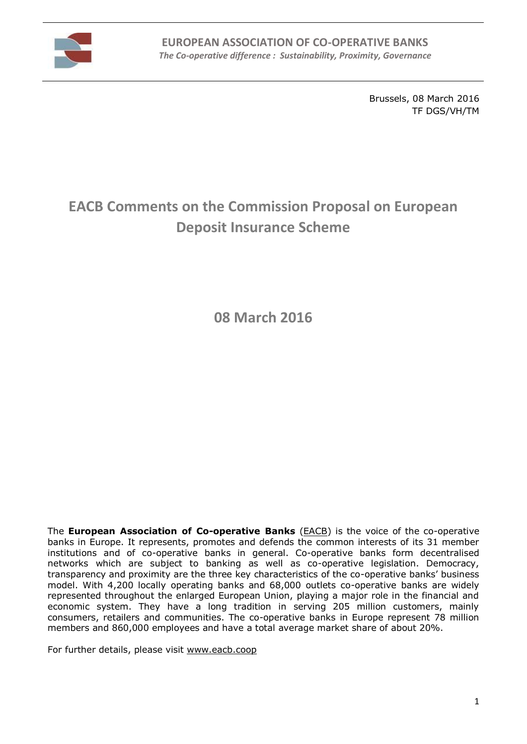

Brussels, 08 March 2016 TF DGS/VH/TM

# **EACB Comments on the Commission Proposal on European Deposit Insurance Scheme**

**08 March 2016**

The **European Association of Co-operative Banks** [\(EACB\)](http://www.eacb.coop/en/home.html) is the voice of the co-operative banks in Europe. It represents, promotes and defends the common interests of its 31 member institutions and of co-operative banks in general. Co-operative banks form decentralised networks which are subject to banking as well as co-operative legislation. Democracy, transparency and proximity are the three key characteristics of the co-operative banks' business model. With 4,200 locally operating banks and 68,000 outlets co-operative banks are widely represented throughout the enlarged European Union, playing a major role in the financial and economic system. They have a long tradition in serving 205 million customers, mainly consumers, retailers and communities. The co-operative banks in Europe represent 78 million members and 860,000 employees and have a total average market share of about 20%.

For further details, please visit [www.eacb.coop](http://www.eacb.coop/)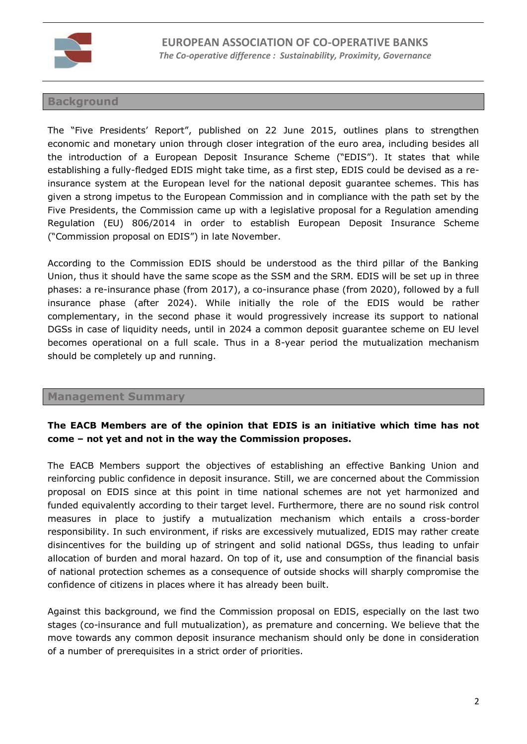

### **Background**

The "Five Presidents' Report", published on 22 June 2015, outlines plans to strengthen economic and monetary union through closer integration of the euro area, including besides all the introduction of a European Deposit Insurance Scheme ("EDIS"). It states that while establishing a fully-fledged EDIS might take time, as a first step, EDIS could be devised as a reinsurance system at the European level for the national deposit guarantee schemes. This has given a strong impetus to the European Commission and in compliance with the path set by the Five Presidents, the Commission came up with a legislative proposal for a Regulation amending Regulation (EU) 806/2014 in order to establish European Deposit Insurance Scheme ("Commission proposal on EDIS") in late November.

According to the Commission EDIS should be understood as the third pillar of the Banking Union, thus it should have the same scope as the SSM and the SRM. EDIS will be set up in three phases: a re-insurance phase (from 2017), a co-insurance phase (from 2020), followed by a full insurance phase (after 2024). While initially the role of the EDIS would be rather complementary, in the second phase it would progressively increase its support to national DGSs in case of liquidity needs, until in 2024 a common deposit guarantee scheme on EU level becomes operational on a full scale. Thus in a 8-year period the mutualization mechanism should be completely up and running.

#### **Management Summary**

# **The EACB Members are of the opinion that EDIS is an initiative which time has not come – not yet and not in the way the Commission proposes.**

The EACB Members support the objectives of establishing an effective Banking Union and reinforcing public confidence in deposit insurance. Still, we are concerned about the Commission proposal on EDIS since at this point in time national schemes are not yet harmonized and funded equivalently according to their target level. Furthermore, there are no sound risk control measures in place to justify a mutualization mechanism which entails a cross-border responsibility. In such environment, if risks are excessively mutualized, EDIS may rather create disincentives for the building up of stringent and solid national DGSs, thus leading to unfair allocation of burden and moral hazard. On top of it, use and consumption of the financial basis of national protection schemes as a consequence of outside shocks will sharply compromise the confidence of citizens in places where it has already been built.

Against this background, we find the Commission proposal on EDIS, especially on the last two stages (co-insurance and full mutualization), as premature and concerning. We believe that the move towards any common deposit insurance mechanism should only be done in consideration of a number of prerequisites in a strict order of priorities.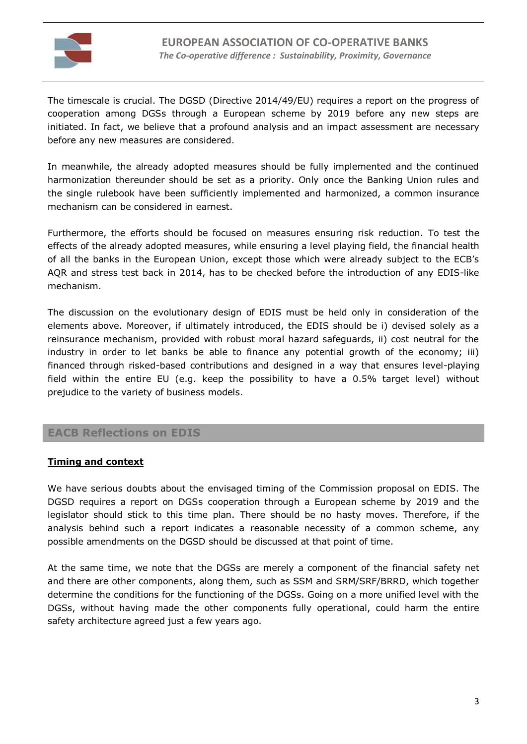

The timescale is crucial. The DGSD (Directive 2014/49/EU) requires a report on the progress of cooperation among DGSs through a European scheme by 2019 before any new steps are initiated. In fact, we believe that a profound analysis and an impact assessment are necessary before any new measures are considered.

In meanwhile, the already adopted measures should be fully implemented and the continued harmonization thereunder should be set as a priority. Only once the Banking Union rules and the single rulebook have been sufficiently implemented and harmonized, a common insurance mechanism can be considered in earnest.

Furthermore, the efforts should be focused on measures ensuring risk reduction. To test the effects of the already adopted measures, while ensuring a level playing field, the financial health of all the banks in the European Union, except those which were already subject to the ECB's AQR and stress test back in 2014, has to be checked before the introduction of any EDIS-like mechanism.

The discussion on the evolutionary design of EDIS must be held only in consideration of the elements above. Moreover, if ultimately introduced, the EDIS should be i) devised solely as a reinsurance mechanism, provided with robust moral hazard safeguards, ii) cost neutral for the industry in order to let banks be able to finance any potential growth of the economy; iii) financed through risked-based contributions and designed in a way that ensures level-playing field within the entire EU (e.g. keep the possibility to have a 0.5% target level) without prejudice to the variety of business models.

## **EACB Reflections on EDIS**

#### **Timing and context**

We have serious doubts about the envisaged timing of the Commission proposal on EDIS. The DGSD requires a report on DGSs cooperation through a European scheme by 2019 and the legislator should stick to this time plan. There should be no hasty moves. Therefore, if the analysis behind such a report indicates a reasonable necessity of a common scheme, any possible amendments on the DGSD should be discussed at that point of time.

At the same time, we note that the DGSs are merely a component of the financial safety net and there are other components, along them, such as SSM and SRM/SRF/BRRD, which together determine the conditions for the functioning of the DGSs. Going on a more unified level with the DGSs, without having made the other components fully operational, could harm the entire safety architecture agreed just a few years ago.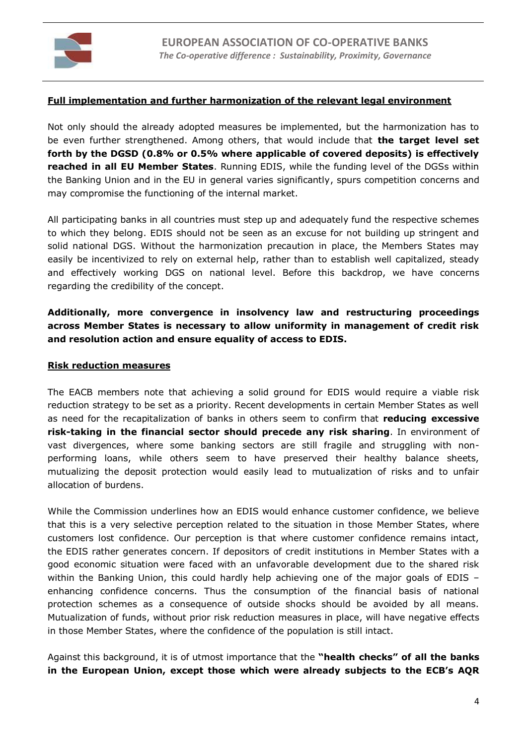

#### **Full implementation and further harmonization of the relevant legal environment**

Not only should the already adopted measures be implemented, but the harmonization has to be even further strengthened. Among others, that would include that **the target level set forth by the DGSD (0.8% or 0.5% where applicable of covered deposits) is effectively reached in all EU Member States**. Running EDIS, while the funding level of the DGSs within the Banking Union and in the EU in general varies significantly, spurs competition concerns and may compromise the functioning of the internal market.

All participating banks in all countries must step up and adequately fund the respective schemes to which they belong. EDIS should not be seen as an excuse for not building up stringent and solid national DGS. Without the harmonization precaution in place, the Members States may easily be incentivized to rely on external help, rather than to establish well capitalized, steady and effectively working DGS on national level. Before this backdrop, we have concerns regarding the credibility of the concept.

## **Additionally, more convergence in insolvency law and restructuring proceedings across Member States is necessary to allow uniformity in management of credit risk and resolution action and ensure equality of access to EDIS.**

#### **Risk reduction measures**

The EACB members note that achieving a solid ground for EDIS would require a viable risk reduction strategy to be set as a priority. Recent developments in certain Member States as well as need for the recapitalization of banks in others seem to confirm that **reducing excessive risk-taking in the financial sector should precede any risk sharing**. In environment of vast divergences, where some banking sectors are still fragile and struggling with nonperforming loans, while others seem to have preserved their healthy balance sheets, mutualizing the deposit protection would easily lead to mutualization of risks and to unfair allocation of burdens.

While the Commission underlines how an EDIS would enhance customer confidence, we believe that this is a very selective perception related to the situation in those Member States, where customers lost confidence. Our perception is that where customer confidence remains intact, the EDIS rather generates concern. If depositors of credit institutions in Member States with a good economic situation were faced with an unfavorable development due to the shared risk within the Banking Union, this could hardly help achieving one of the major goals of EDIS – enhancing confidence concerns. Thus the consumption of the financial basis of national protection schemes as a consequence of outside shocks should be avoided by all means. Mutualization of funds, without prior risk reduction measures in place, will have negative effects in those Member States, where the confidence of the population is still intact.

Against this background, it is of utmost importance that the **"health checks" of all the banks in the European Union, except those which were already subjects to the ECB's AQR**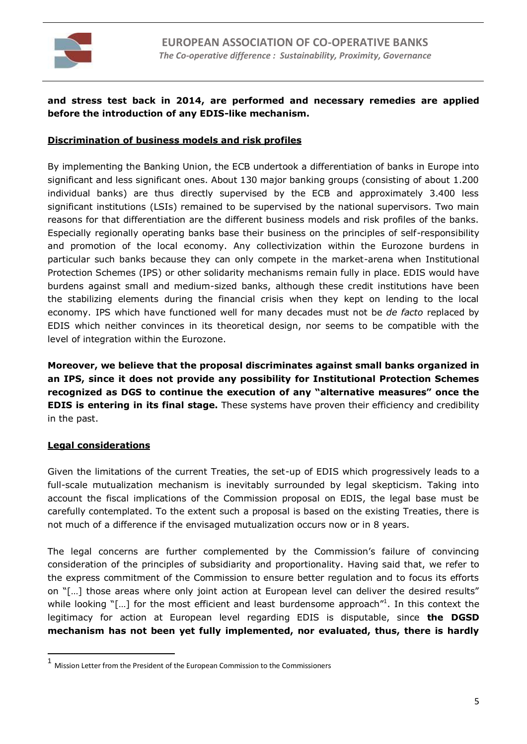

## **and stress test back in 2014, are performed and necessary remedies are applied before the introduction of any EDIS-like mechanism.**

#### **Discrimination of business models and risk profiles**

By implementing the Banking Union, the ECB undertook a differentiation of banks in Europe into significant and less significant ones. About 130 major banking groups (consisting of about 1.200 individual banks) are thus directly supervised by the ECB and approximately 3.400 less significant institutions (LSIs) remained to be supervised by the national supervisors. Two main reasons for that differentiation are the different business models and risk profiles of the banks. Especially regionally operating banks base their business on the principles of self-responsibility and promotion of the local economy. Any collectivization within the Eurozone burdens in particular such banks because they can only compete in the market-arena when Institutional Protection Schemes (IPS) or other solidarity mechanisms remain fully in place. EDIS would have burdens against small and medium-sized banks, although these credit institutions have been the stabilizing elements during the financial crisis when they kept on lending to the local economy. IPS which have functioned well for many decades must not be *de facto* replaced by EDIS which neither convinces in its theoretical design, nor seems to be compatible with the level of integration within the Eurozone.

**Moreover, we believe that the proposal discriminates against small banks organized in an IPS, since it does not provide any possibility for Institutional Protection Schemes recognized as DGS to continue the execution of any "alternative measures" once the EDIS is entering in its final stage.** These systems have proven their efficiency and credibility in the past.

#### **Legal considerations**

 $\overline{a}$ 

Given the limitations of the current Treaties, the set-up of EDIS which progressively leads to a full-scale mutualization mechanism is inevitably surrounded by legal skepticism. Taking into account the fiscal implications of the Commission proposal on EDIS, the legal base must be carefully contemplated. To the extent such a proposal is based on the existing Treaties, there is not much of a difference if the envisaged mutualization occurs now or in 8 years.

The legal concerns are further complemented by the Commission's failure of convincing consideration of the principles of subsidiarity and proportionality. Having said that, we refer to the express commitment of the Commission to ensure better regulation and to focus its efforts on "[…] those areas where only joint action at European level can deliver the desired results" while looking  $"[...]$  for the most efficient and least burdensome approach $"^1$ . In this context the legitimacy for action at European level regarding EDIS is disputable, since **the DGSD mechanism has not been yet fully implemented, nor evaluated, thus, there is hardly** 

<sup>1</sup> Mission Letter from the President of the European Commission to the Commissioners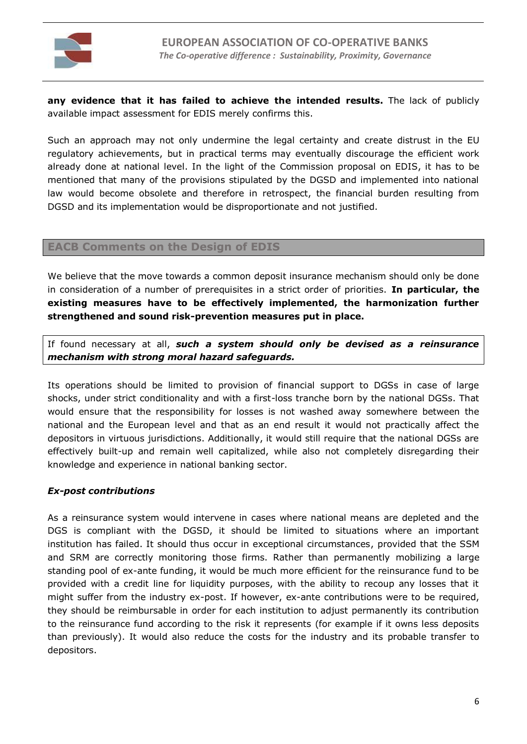

**any evidence that it has failed to achieve the intended results.** The lack of publicly available impact assessment for EDIS merely confirms this.

Such an approach may not only undermine the legal certainty and create distrust in the EU regulatory achievements, but in practical terms may eventually discourage the efficient work already done at national level. In the light of the Commission proposal on EDIS, it has to be mentioned that many of the provisions stipulated by the DGSD and implemented into national law would become obsolete and therefore in retrospect, the financial burden resulting from DGSD and its implementation would be disproportionate and not justified.

#### **EACB Comments on the Design of EDIS**

We believe that the move towards a common deposit insurance mechanism should only be done in consideration of a number of prerequisites in a strict order of priorities. **In particular, the existing measures have to be effectively implemented, the harmonization further strengthened and sound risk-prevention measures put in place.**

If found necessary at all, *such a system should only be devised as a reinsurance mechanism with strong moral hazard safeguards.*

Its operations should be limited to provision of financial support to DGSs in case of large shocks, under strict conditionality and with a first-loss tranche born by the national DGSs. That would ensure that the responsibility for losses is not washed away somewhere between the national and the European level and that as an end result it would not practically affect the depositors in virtuous jurisdictions. Additionally, it would still require that the national DGSs are effectively built-up and remain well capitalized, while also not completely disregarding their knowledge and experience in national banking sector.

#### *Ex-post contributions*

As a reinsurance system would intervene in cases where national means are depleted and the DGS is compliant with the DGSD, it should be limited to situations where an important institution has failed. It should thus occur in exceptional circumstances, provided that the SSM and SRM are correctly monitoring those firms. Rather than permanently mobilizing a large standing pool of ex-ante funding, it would be much more efficient for the reinsurance fund to be provided with a credit line for liquidity purposes, with the ability to recoup any losses that it might suffer from the industry ex-post. If however, ex-ante contributions were to be required, they should be reimbursable in order for each institution to adjust permanently its contribution to the reinsurance fund according to the risk it represents (for example if it owns less deposits than previously). It would also reduce the costs for the industry and its probable transfer to depositors.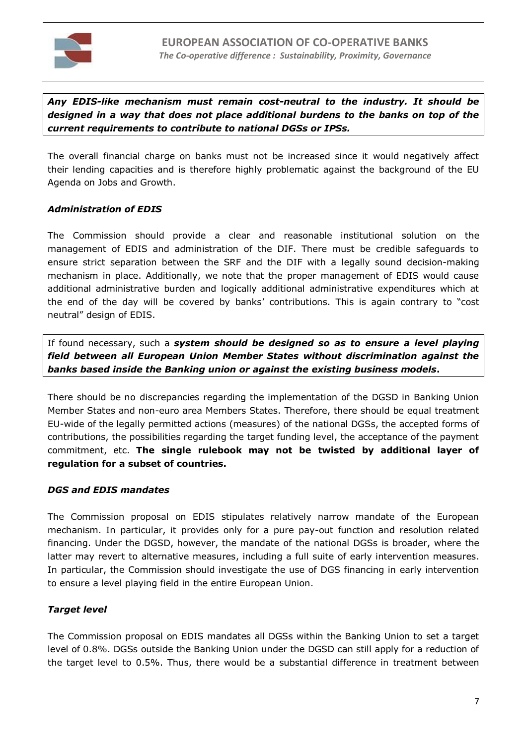

*Any EDIS-like mechanism must remain cost-neutral to the industry. It should be designed in a way that does not place additional burdens to the banks on top of the current requirements to contribute to national DGSs or IPSs.* 

The overall financial charge on banks must not be increased since it would negatively affect their lending capacities and is therefore highly problematic against the background of the EU Agenda on Jobs and Growth.

#### *Administration of EDIS*

The Commission should provide a clear and reasonable institutional solution on the management of EDIS and administration of the DIF. There must be credible safeguards to ensure strict separation between the SRF and the DIF with a legally sound decision-making mechanism in place. Additionally, we note that the proper management of EDIS would cause additional administrative burden and logically additional administrative expenditures which at the end of the day will be covered by banks' contributions. This is again contrary to "cost neutral" design of EDIS.

If found necessary, such a *system should be designed so as to ensure a level playing field between all European Union Member States without discrimination against the banks based inside the Banking union or against the existing business models***.** 

There should be no discrepancies regarding the implementation of the DGSD in Banking Union Member States and non-euro area Members States. Therefore, there should be equal treatment EU-wide of the legally permitted actions (measures) of the national DGSs, the accepted forms of contributions, the possibilities regarding the target funding level, the acceptance of the payment commitment, etc. **The single rulebook may not be twisted by additional layer of regulation for a subset of countries.** 

#### *DGS and EDIS mandates*

The Commission proposal on EDIS stipulates relatively narrow mandate of the European mechanism. In particular, it provides only for a pure pay-out function and resolution related financing. Under the DGSD, however, the mandate of the national DGSs is broader, where the latter may revert to alternative measures, including a full suite of early intervention measures. In particular, the Commission should investigate the use of DGS financing in early intervention to ensure a level playing field in the entire European Union.

## *Target level*

The Commission proposal on EDIS mandates all DGSs within the Banking Union to set a target level of 0.8%. DGSs outside the Banking Union under the DGSD can still apply for a reduction of the target level to 0.5%. Thus, there would be a substantial difference in treatment between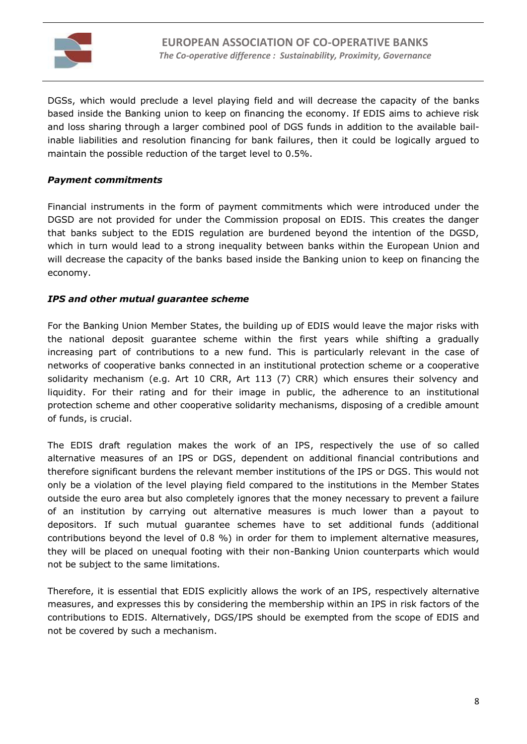

DGSs, which would preclude a level playing field and will decrease the capacity of the banks based inside the Banking union to keep on financing the economy. If EDIS aims to achieve risk and loss sharing through a larger combined pool of DGS funds in addition to the available bailinable liabilities and resolution financing for bank failures, then it could be logically argued to maintain the possible reduction of the target level to 0.5%.

### *Payment commitments*

Financial instruments in the form of payment commitments which were introduced under the DGSD are not provided for under the Commission proposal on EDIS. This creates the danger that banks subject to the EDIS regulation are burdened beyond the intention of the DGSD, which in turn would lead to a strong inequality between banks within the European Union and will decrease the capacity of the banks based inside the Banking union to keep on financing the economy.

## *IPS and other mutual guarantee scheme*

For the Banking Union Member States, the building up of EDIS would leave the major risks with the national deposit guarantee scheme within the first years while shifting a gradually increasing part of contributions to a new fund. This is particularly relevant in the case of networks of cooperative banks connected in an institutional protection scheme or a cooperative solidarity mechanism (e.g. Art 10 CRR, Art 113 (7) CRR) which ensures their solvency and liquidity. For their rating and for their image in public, the adherence to an institutional protection scheme and other cooperative solidarity mechanisms, disposing of a credible amount of funds, is crucial.

The EDIS draft regulation makes the work of an IPS, respectively the use of so called alternative measures of an IPS or DGS, dependent on additional financial contributions and therefore significant burdens the relevant member institutions of the IPS or DGS. This would not only be a violation of the level playing field compared to the institutions in the Member States outside the euro area but also completely ignores that the money necessary to prevent a failure of an institution by carrying out alternative measures is much lower than a payout to depositors. If such mutual guarantee schemes have to set additional funds (additional contributions beyond the level of 0.8 %) in order for them to implement alternative measures, they will be placed on unequal footing with their non-Banking Union counterparts which would not be subject to the same limitations.

Therefore, it is essential that EDIS explicitly allows the work of an IPS, respectively alternative measures, and expresses this by considering the membership within an IPS in risk factors of the contributions to EDIS. Alternatively, DGS/IPS should be exempted from the scope of EDIS and not be covered by such a mechanism.